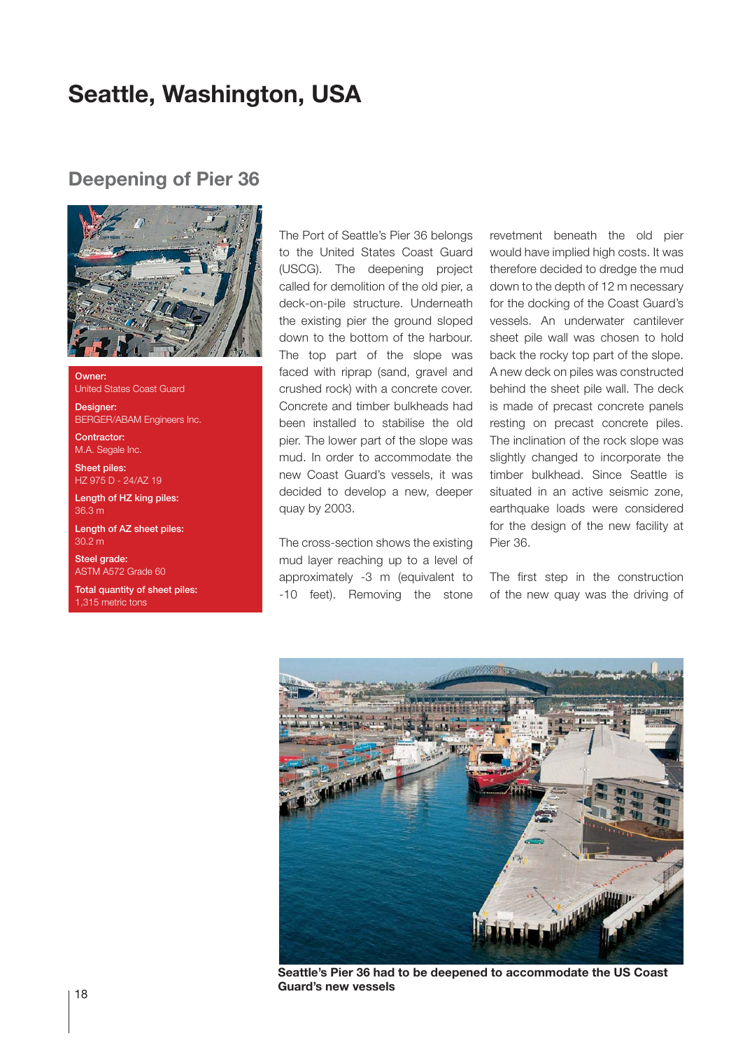## **Seattle, Washington, USA**

## **Deepening of Pier 36**



**Owner** United States Coast Guard

Designer: BERGER/ABAM Engineers Inc.

Contractor: M.A. Segale Inc.

Sheet piles: HZ 975 D - 24/AZ 19

Length of HZ king piles: 36.3 m

Length of AZ sheet piles: 30.2 m

Steel grade: ASTM A572 Grade 60

Total quantity of sheet piles: 1,315 metric tons

The Port of Seattle's Pier 36 belongs to the United States Coast Guard (USCG). The deepening project called for demolition of the old pier, a deck-on-pile structure. Underneath the existing pier the ground sloped down to the bottom of the harbour. The top part of the slope was faced with riprap (sand, gravel and crushed rock) with a concrete cover. Concrete and timber bulkheads had been installed to stabilise the old pier. The lower part of the slope was mud. In order to accommodate the new Coast Guard's vessels, it was decided to develop a new, deeper quay by 2003.

The cross-section shows the existing mud layer reaching up to a level of approximately -3 m (equivalent to -10 feet). Removing the stone revetment beneath the old pier would have implied high costs. It was therefore decided to dredge the mud down to the depth of 12 m necessary for the docking of the Coast Guard's vessels. An underwater cantilever sheet pile wall was chosen to hold back the rocky top part of the slope. A new deck on piles was constructed behind the sheet pile wall. The deck is made of precast concrete panels resting on precast concrete piles. The inclination of the rock slope was slightly changed to incorporate the timber bulkhead. Since Seattle is situated in an active seismic zone, earthquake loads were considered for the design of the new facility at Pier 36.

The first step in the construction of the new quay was the driving of



**Seattle's Pier 36 had to be deepened to accommodate the US Coast Guard's new vessels**